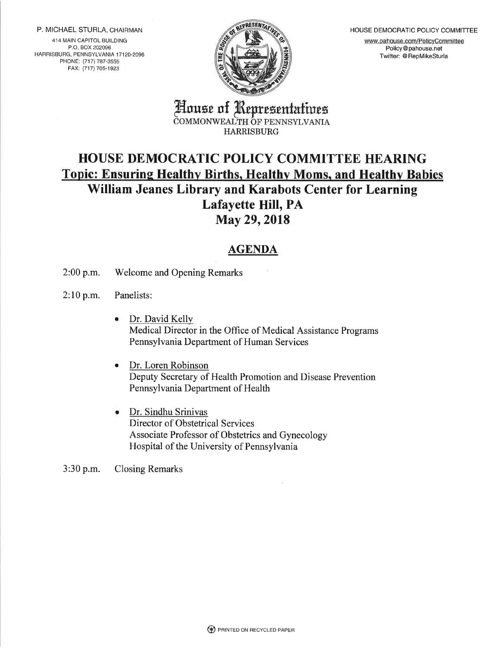P. MICHAEL STURLA, CHAIRMAN

414 MAIN CAPITOL BUILDING P.O. BOX 202096 HARBISBURG, PENNSYLVANIA 17120.2096 PHONE: (717) 787-3555 FAX: (717) 705-1923



HOUSE DEMOCRATIC POLICY COMMITTEE

www.pahouse.com/PolicyCommittee Policy@ pahouse.net Twitter: @ RepMikeSturla

House of R euresentatwes COMMONWEALTH OF PENNSYLVANIA **HARRISBURG** 

## HOUSE DEMOCRATIC POLICY COMMITTEE HEARING Topic: Ensuring Healthy Births, Healthy Moms, and Healthy Babies William Jeanes Library and Karabots Center for Learning Lafayette Hill, PA May 29,2018

## AGENDA

2:00 p.m. Welcome and Opening Remarks

2:10 p.m. Panelists:

- e Dr. David Kelly Medical Director in the Office of Medical Assistance Programs Pennsylvania Department of Human Services
- Dr. Loren Robinson Deputy Secretary of Health Promotion and Disease Prevention Pennsylvania Department of Health
- Dr. Sindhu Srinivas Director of Obstetrical Services Associate Professor of Obstetrics and Gynecology Hospital of the University of Pennsylvania

3:30 p.m. Closing Remarks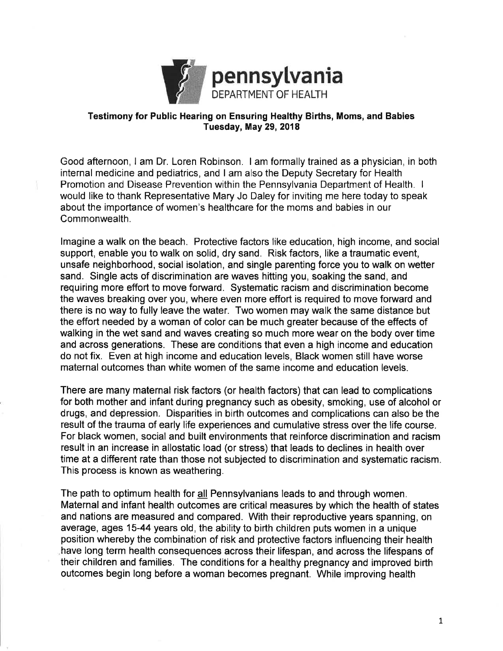

## Testimony for Public Hearing on Ensuring Healthy Births, Moms, and Babies Tuesday, May 29, 2018

Good afternoon, I am Dr. Loren Robinson. I am formally trained as a physician, in both internal medicine and pediatrics, and I am also the Deputy Secretary for Health Promotion and Disease Prevention within the Pennsylvania Department of Health. <sup>I</sup> would like to thank Representative Mary Jo Daley for inviting me here today to speak about the importance of women's healthcare for the moms and babies in our Commonwealth.

lmagine a walk on the beach. Protective factors like education, high income, and social support, enable you to walk on solid, dry sand. Risk factors, like a traumatic event, unsafe neighborhood, social isolation, and single parenting force you to walk on wetter sand. Single acts of discrimination are waves hitting you, soaking the sand, and requiring more effort to move forward. Systematic racism and discrimination become the waves breaking over you, where even more effort is required to move fonrvard and there is no way to fully leave the water. Two women may walk the same distance but the effort needed by a woman of color can be much greater because of the effects of walking in the wet sand and waves creating so much more wear on the body over time and across generations. These are conditions that even a high income and education do not fix. Even at high income and education levels, Black women still have worse maternal outcomes than white women of the same income and education levels.

There are many maternal risk factors (or health factors) that can lead to complications for both mother and infant during pregnancy such as obesity, smoking, use of alcohol or drugs, and depression. Disparities in birth outcomes and complications can also be the result of the trauma of early life experiences and cumulative stress over the life course. For black women, social and built environments that reinforce discrimination and racism result in an increase in allostatic load (or stress) that leads to declines in health over time at a different rate than those not subjected to discrimination and systematic racism. This process is known as weathering.

The path to optimum health for all Pennsylvanians leads to and through women. Maternal and infant health outcomes are critical measures by which the health of states and nations are measured and compared. With their reproductive years spanning, on average, ages 15-44 years old, the ability to birth children puts women in a unique position whereby the combination of risk and protective factors influencing their health have long term health consequences across their lifespan, and across the lifespans of their children and families. The conditions for a healthy pregnancy and improved birth outcomes begin long before a woman becomes pregnant. While improving health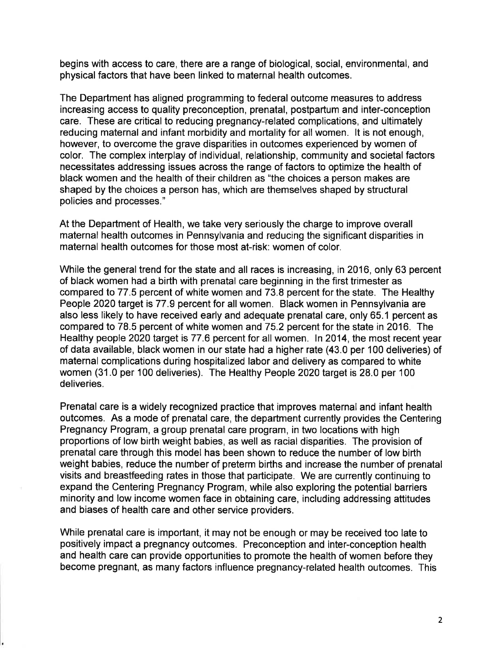begins with access to care, there are a range of biological, social, environmental, and physical factors that have been linked to maternal health outcomes.

The Department has aligned programming to federal outcome measures to address increasing access to quality preconception, prenatal, postpartum and inter-conception care. These are critical to reducing pregnancy-related complications, and ultimately reducing maternal and infant morbidity and mortality for all women. lt is not enough, however, to overcome the grave disparities in outcomes experienced by women of color. The complex interplay of individual, relationship, community and societal factors necessitates addressing issues across the range of factors to optimize the health of black women and the health of their children as "the choices a person makes are shaped by the choices a person has, which are themselves shaped by structural policies and processes."

At the Department of Health, we take very seriously the charge to improve overall maternal health outcomes in Pennsylvania and reducing the significant disparities in maternal health outcomes for those most at-risk: women of color.

While the general trend for the state and all races is increasing, in 2016, only 63 percent of black women had a birth with prenatal care beginning in the first trimester as compared to 77.5 percent of white women and 73.8 percent for the state. The Healthy People 2020 target is 77.9 percent for all women. Black women in Pennsylvania are also less likely to have received early and adequate prenatal care, only 65.1 percent as compared to 78.5 percent of white women and 75.2 percent for the state in 2016. The Healthy people 2020 target is 77.6 percent for all women. In 2014, the most recent year of data available, black women in our state had a higher rate (43.0 per 100 deliveries) of maternal complications during hospitalized labor and delivery as compared to white women (31 .0 per 100 deliveries). The Healthy People 2020 target is 28.0 per 100 deliveries.

Prenatal care is a widely recognized practice that improves maternal and infant health outcomes. As a mode of prenatal care, the department currently provides the Centering Pregnancy Program, a group prenatal care program, in two locations with high proportions of low birth weight babies, as well as racial disparities. The provision of prenatal care through this model has been shown to reduce the number of low birth weight babies, reduce the number of preterm births and increase the number of prenatal visits and breastfeeding rates in those that participate. We are currently continuing to expand the Centering Pregnancy Program, while also exploring the potential barriers minority and low income women face in obtaining care, including addressing attitudes and biases of health care and other service providers.

While prenatal care is important, it may not be enough or may be received too late to positively impact a pregnancy outcomes. Preconception and inter-conception health and health care can provide opportunities to promote the health of women before they become pregnant, as many factors influence pregnancy-related health outcomes. This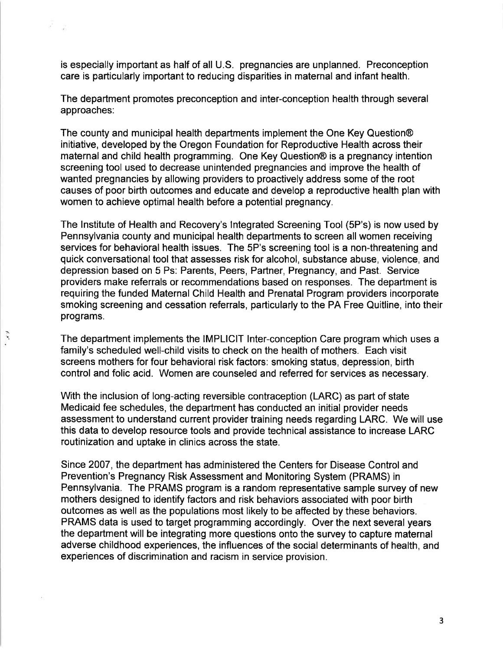is especially important as half of all U.S. pregnancies are unplanned. Preconception care is particularly important to reducing disparities in maternal and infant health.

The department promotes preconception and inter-conception health through several approaches:

The county and municipal health departments implement the One Key Question@ initiative, developed by the Oregon Foundation for Reproductive Health across their maternal and child health programming. One Key Question@ is a pregnancy intention screening tool used to decrease unintended pregnancies and improve the health of wanted pregnancies by allowing providers to proactively address some of the root causes of poor birth outcomes and educate and develop a reproductive health plan with women to achieve optimal health before a potential pregnancy.

The lnstitute of Health and Recovery's lntegrated Screening Tool (SP's) is now used by Pennsylvania county and municipal health departments to screen all women receiving services for behavioral health issues. The 5P's screening tool is a non-threatening and quick conversational tool that assesses risk for alcohol, substance abuse, violence, and depression based on 5 Ps: Parents, Peers, Partner, Pregnancy, and Past. Service providers make referrals or recommendations based on responses. The department is requiring the funded Maternal Child Health and Prenatal Program providers incorporate smoking screening and cessation referrals, particularly to the PA Free Quitline, into their programs.

The department implements the IMPLICIT lnter-conception Care program which uses a family's scheduled well-child visits to check on the health of mothers. Each visit screens mothers for four behavioral risk factors: smoking status, depression, birth control and folic acid. Women are counseled and referred for services as necessary.

الأرجاء

With the inclusion of long-acting reversible contraception (LARC) as part of state Medicaid fee schedules, the department has conducted an initial provider needs assessment to understand current provider training needs regarding LARC. We will use this data to develop resource tools and provide technical assistance to increase LARC routinization and uptake in clinics across the state.

Since 2007, the department has administered the Centers for Disease Control and Prevention's Pregnancy Risk Assessment and Monitoring System (PRAMS) in Pennsylvania. The PRAMS program is a random representative sample survey of new mothers designed to identify factors and risk behaviors associated with poor birth outcomes as well as the populations most likely to be affected by these behaviors. PRAMS data is used to target programming accordingly. Over the next several years the department will be integrating more questions onto the survey to capture maternal adverse childhood experiences, the influences of the social determinants of health, and experiences of discrimination and racism in service provision.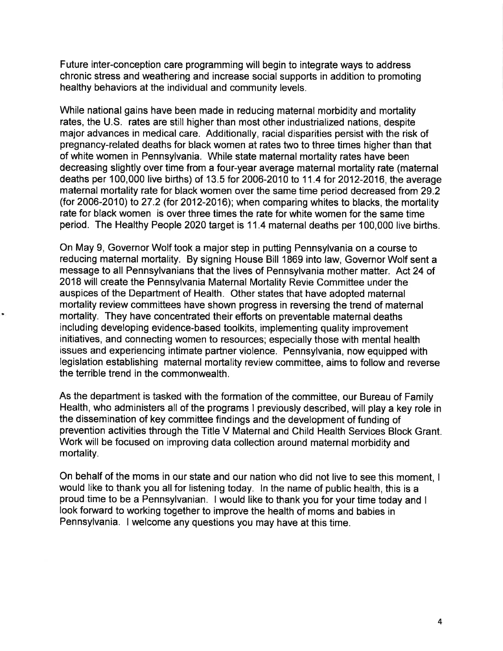Future inter-conception care programming will begin to integrate ways to address chronic stress and weathering and increase social supports in addition to promoting healthy behaviors at the individual and community levels.

While national gains have been made in reducing maternal morbidity and mortality rates, the U.S. rates are still higher than most other industrialized nations, despite major advances in medical care. Additionally, racial disparities persist with the risk of pregnancy-related deaths for black women at rates two to three times higher than that of white women in Pennsylvania. While state maternal mortality rates have been decreasing slightly over time from a four-year average maternal mortality rate (maternal deaths per 100,000 live births) of 13.5 for 2006-2010 to 11.4 for 2012-2016, the average maternal mortality rate for black women over the same time period decreased from 29.2 (for 2006-2010) to 27.2 (for 2012-2016); when comparing whites to blacks, the mortality rate for black women is over three times the rate for white women for the same time period. The Healthy People 2020 target is <sup>1</sup>1 .4 maternal deaths per 100,000 live births.

On May 9, Governor Wolf took a major step in putting Pennsylvania on a course to reducing maternal mortality. By signing House Bill 1869 into law, Governor Wolf sent a message to all Pennsylvanians that the lives of Pennsylvania mother matter. Act24 of 2018 will create the Pennsylvania Maternal Mortality Revie Committee under the auspices of the Department of Health. Other states that have adopted maternal mortality review committees have shown progress in reversing the trend of maternal mortality. They have concentrated their efforts on preventable maternal deaths including developing evidence-based toolkits, implementing quality improvement initiatives, and connecting women to resources; especially those with mental health issues and experiencing intimate partner violence. Pennsylvania, now equipped with legislation establishing maternal mortality review committee, aims to follow and reverse the terrible trend in the commonwealth.

As the department is tasked with the formation of the committee, our Bureau of Family Health, who administers all of the programs I previously described, will play a key role in the dissemination of key committee findings and the development of funding of prevention activities through the Title V Maternal and Child Health Services Block Grant. Work will be focused on improving data collection around maternal morbidity and mortality.

On behalf of the moms in our state and our nation who did not live to see this moment, <sup>I</sup> would like to thank you all for listening today. In the name of public health, this is a proud time to be a Pennsylvanian. I would like to thank you for your time today and <sup>I</sup> look forward to working together to improve the health of moms and babies in Pennsylvania. I welcome any questions you may have at this time.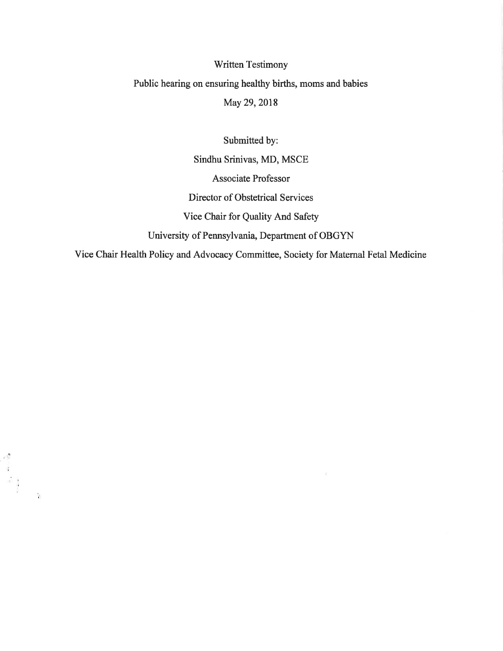## Written Testimony Public hearing on ensuring healthy births, moms and babies

May 29,2018

Submitted by:

Sindhu Srinivas, MD, MSCE Associate Professor Director of Obstetrical Services Vice Chair for Quality And Safety University of Pennsylvania, Department of OBGYN

Vice Chair Health Policy and Advocacy Committee, Society for Maternal Fetal Medicine

 $\label{eq:2.1} \frac{1}{2} \int_{\mathbb{R}^3} \frac{1}{2\pi} \, \mathrm{d} \omega \, \mathrm{d} \omega \, \mathrm{d} \omega$ 

 $\frac{1}{\sqrt{2}}$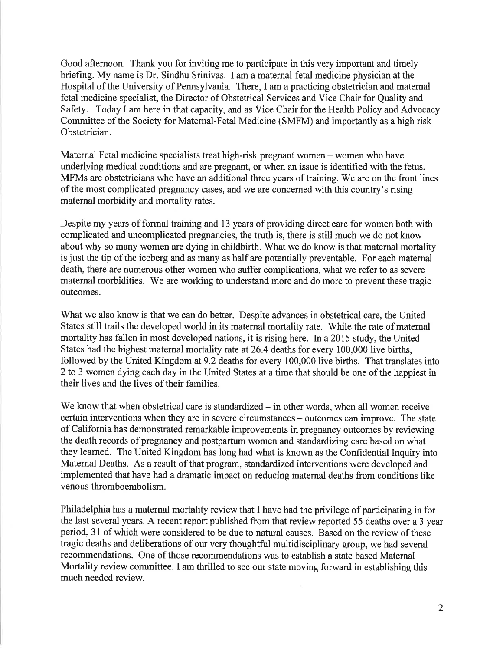Good afternoon. Thank you for inviting me to participate in this very important and timely briefing. My name is Dr. Sindhu Srinivas. I am a maternal-fetal medicine physician at the Hospital of the University of Pennsylvania. There, I am a practicing obstetrician and maternal fetal medicine specialist, the Director of Obstetrical Services and Vice Chair for Quality and Safety. Today I am here in that capacity, and as Vice Chair for the Health Policy and Advocacy Committee of the Society for Maternal-Fetal Medicine (SMFM) and importantly as a high risk Obstetrician.

Maternal Fetal medicine specialists treat high-risk pregnant women – women who have underlying medical conditions and are pregnant, or when an issue is identified with the fetus. MFMs are obstetricians who have an additional three years of training. We are on the front lines of the most complicated pregnancy cases, and we are concerned with this country's rising maternal morbidity and mortality rates.

Despite my years of formal training and 13 years of providing direct care for women both with complicated and uncomplicated pregnancies, the truth is, there is still much we do not know about why so many women are dying in childbirth. What we do know is that maternal mortality is just the tip of the iceberg and as many as half are potentially preventable. For each maternal death, there are numerous other women who suffer complications, what we refer to as severe maternal morbidities. We are working to understand more and do more to prevent these tragic outcomes.

What we also know is that we can do better. Despite advances in obstetrical care, the United States still trails the developed world in its maternal mortality rate. While the rate of maternal mortality has fallen in most developed nations, it is rising here. In a20I5 study, the United States had the highest maternal mortality rate at 26.4 deaths for every 100,000 live births, followed by the United Kingdom at 9.2 deaths for every 100,000 live births. That translates into 2 to 3 women dying each day in the United States at a time that should be one of the happiest in their lives and the lives of their families.

We know that when obstetrical care is standardized  $-$  in other words, when all women receive certain interventions when they are in severe circumstances – outcomes can improve. The state of California has demonstrated remarkable improvements in pregnancy outcomes by reviewing the death records of pregnancy and postparfum women and standardizing care based on what they learned. The United Kingdom has long had what is known as the Confidential Inquiry into Maternal Deaths. As a result of that program, standardized interventions were developed and implemented that have had a dramatic impact on reducing maternal deaths from conditions like venous thromboembolism.

Philadelphia has a maternal mortality review that I have had the privilege of participating in for the last several years. A recent report published from that review reported 55 deaths over a 3 year period, 31 of which were considered to be due to natural causes. Based on the review of these tragic deaths and deliberations of our very thoughtful multidisciplinary group, we had several recommendations. One of those recommendations was to establish a state based Maternal Mortality review committee. I am thrilled to see our state moving forward in establishing this much needed review.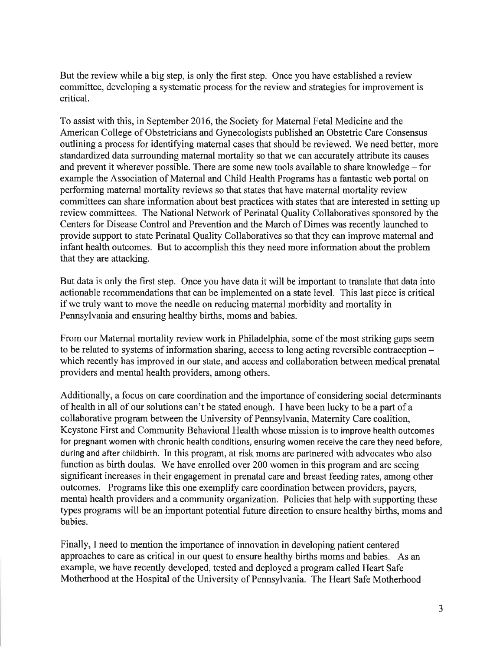But the review while a big step, is only the first step. Once you have established a review committee, developing a systematic process for the review and strategies for improvement is critical.

To assist with this, in September 2016, the Society for Maternal Fetal Medicine and the American College of Obstetricians and Gynecologists published an Obstetric Care Consensus outlining a process for identifying maternal cases that should be reviewed. We need beffer, more standardized data surrounding maternal mortality so that we can accurately attribute its causes and prevent it wherever possible. There are some new tools available to share knowledge  $-$  for example the Association of Maternal and Child Health Programs has a fantastic web portal on performing matemal mortality reviews so that states that have maternal mortality review commiffees can share information about best practices with states that are interested in setting up review committees. The National Network of Perinatal Quality Collaboratives sponsored by the Centers for Disease Control and Prevention and the March of Dimes was recently launched to provide support to state Perinatal Quality Collaboratives so that they can improve maternal and infant health outcomes. But to accomplish this they need more information about the problem that they are attacking.

But data is only the first step. Once you have data it will be important to translate that data into actionable recommendations that can be implemented on a state level. This last piece is critical if we truly want to move the needle on reducing maternal morbidity and mortality in Pennsylvania and ensuring healthy births, moms and babies.

From our Maternal mortality review work in Philadelphia, some of the most striking gaps seem to be related to systems of information sharing, access to long acting reversible contraception which recently has improved in our state, and access and collaboration between medical prenatal providers and mental health providers, among others.

Additionally, a focus on care coordination and the importance of considering social determinants of health in all of our solutions can't be stated enough. I have been lucky to be a part of a collaborative program between the University of Pennsylvania, Maternity Care coalition, Keystone First and Community Behavioral Health whose mission is to improve health outcomes for pregnant women with chronic health conditions, ensuring women receive the care they need before, during and after childbirth. In this program, at risk moms are partnered with advocates who also function as birth doulas. We have enrolled over 200 women in this program and are seeing significant increases in their engagement in prenatal care and breast feeding rates, among other outcomes. Programs like this one exemplify care coordination between providers, payers, mental health providers and a community organization. Policies that help with supporting these types programs will be an important potential future direction to ensure healthy births, moms and babies.

Finally, I need to mention the importance of innovation in developing patient centered approaches to care as critical in our quest to ensure healthy births moms and babies. As an example, we have recently developed, tested and deployed a program called Heart Safe Motherhood at the Hospital of the University of Pennsylvania. The Heart Safe Motherhood